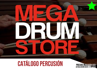

# **CATáLOGO PERCUSióN Precios Incluyen i.v.a**

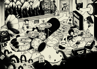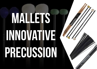# WALLETS INNOVATIVE PRECISSION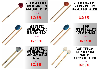

#### **MEDIUM VIBRAPHONE MARIMBA MALLETS WINE CORD - RATTAN**

(RS251)

**USD: \$ 69**



#### **MEDIUM VIBRAPHONE MARIMBA MALLETS ORANGE CORD - RATTAN**

(AA25)

**USD: \$ 73**



#### **MEDIUM HARD MARIMBA MALLETS TEAL YARN - BIRCH**

(IP300)

**USD: \$ 58**



#### **HARD MARIMBA MALLETS TEAL YARN - BIRCH**

(IP400)

**USD: \$ 58**



#### **MEDIUM HARD MARIMBA MALLETS LIGTH GRAY YARNZZ CEDAR**

(IP5004) **USD: \$ 70**



**DAVID FRIEDMAN LIGHT VIBRAPHONE MALLETS IVORY YARN - RATTAN**

(DF30L)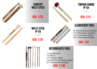



(IP\_1M)

**USD: \$ 35**





(IP\_5AT)

**USD: \$ 51**



### **MULTI-STICK IP-5A**

(IP\_5AM)

**USD: \$ 35**



## **ELEMENTARY PACK**

(FP1)

- *F8 Marimba de goma mediana - F10 Xilófono duro / Campana*
- *IP-LD Lalo Davila / Hickory-*
- *SB-3 Fundamental Stick Bag*

### **USD: \$ 87**



## **INTERMEDIATE PACK**

(FP2)

*- F2 Hard Marimba*

*- F9 Xilófono*

- *GT-3 Timpani / Medio*
- *General IP-LD Lalo Davila / Hickory*

*-SB-3 - Fundamental Stick Bag*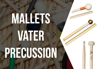# MAL S

# VATER PRECUSSION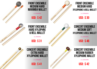#### **Front Ensemble Medium Hard Marimba Mallet**

(V\_FEM40MH)

**USD: \$ 42**



(V\_FEXB40MH)

**USD: \$ 30**

#### **Front Ensemble Hard Xylophne & Bell Mallet**

(V\_FEXB50H)

**USD: \$ 31**

#### **Concert Ensemble Medium Soft Xylophone & Bell Mallet**

(V\_CEXB20MS)

**USD: \$ 46**



#### **Concert Ensemble Extra Hard Xylophone Mallet**

(V\_CEXB60EH)

**USD: \$ 41**



#### **Concert Ensemble Medium Rubber Xylophone Mallet**

(V\_CEXB32RM)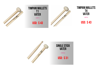

#### **TIMPANI MALLETS T1 VATER** (VMT1)

**USD: \$ 43**



(VMSZL)



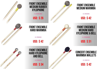#### **Front Ensemble FRONT ENSEMBLE FRONT ENSEMBLE Medium RUBBER MEDIUM RUBBER MEDIUM RUBBER XYLOPHONE XYLOPHONE XYLOPHONE**

(V\_FEXB32RM)

**USD: \$ 26 USD: 92** 



### **Front Ensemble FRONT ENSEMBLE FRONT ENSEMBLE Medium MARIMBA MEDIUM MARIMBA MEDIUM MARIMBA**

(V\_FEM30M) (V-FEM30M) (V-FEM30M)

**USD: \$ 42 USD: 54** 



#### **Front Ensemble FRONT ENSEMBLE FRONT ENSEMBLE Hard MARIMBA HARD MARIMBA HARD MARIMBA**

(V\_FEM50H)

**USD: \$ 42 USD: \$ 37 USD: \$ 37**



#### **Front Ensemble FRONT ENSEMBLE FRONT ENSEMBLE Medium HARD MEDIUM HARD MEDIUM HARD Xylophone & Bell XYLOPHONE AND BELL XYLOPHONE AND BELL**

(V\_FEXB40MH) (V-FEXB40MH) (V-FEXB40MH)

**USD: \$ 31 USD: \$ 27 USD: \$ 27**



#### **Front Ensemble FRONT ENSEMBLE FRONT ENSEMBLE HaRD XYLOPHONE HARD XYLOPHONE HARD XYLOPHONE AND BELL AND BELL AND BELL**

(V\_FEXB50H) (V-FEXB50H) (V-FEXB50H)

**USD: \$ 34 USD: \$ 30 USD: \$ 30**



#### **Concert Ensemble MARIMBA MalletS Concert Ensemble Concert Ensemble WARDING MARIMBA MALLETS GUNGEKI ENSEMBLI**<br>Madimba Mali Etc

(V\_CEM51H)

**USD: \$ 42 USD: \$ 37 USD: \$ 37**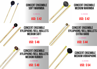#### **CONCERT Ensemble SOFT MARIMBA CONCERT ENSEMBLE SOFT MARIMBA**

(V\_CEM118)

**USD: \$ 42 USD: \$ 37**



#### **CONCERT Ensemble Medium MARIMBA MEDIUM MARIMBA CONCERT ENSEMBLE**

(V\_CEM30M)

**USD: \$ 42 USD: \$ 37**

#### **Concert Ensemble CONCERT Ensemble Xylophone/Bell Mallets XYLOPHONE/BELL MALLETS Medium Soft MEDIUM SOFT**

(V\_CEXB20MS)

**USD: \$ 46 USD: \$ 41**

#### **Concert Ensemble CONCERT Ensemble xilófono/Bell Mallets XYLOPHONE/BELL MALLETS Extra HARD EXTRA HARD**

(V\_CEXB60EH) (V-CEXB60EH)

**USD: \$ 44 USD: \$ 39**

#### **CONCERT Ensemble Concert Ensemble XYLOPHONE/BELL MALLETS Xylophone/Bell Mallets MEDIUM RUBBER Medium RUBBER**

(V\_CEXB32RM)

**USD: \$40** 



#### **Concert Ensemble MEDIUM VIBRAPHONE CONCERT ENSEMBLE CONCERT ENSEMBLE**

(V\_CEV30M)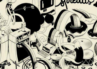